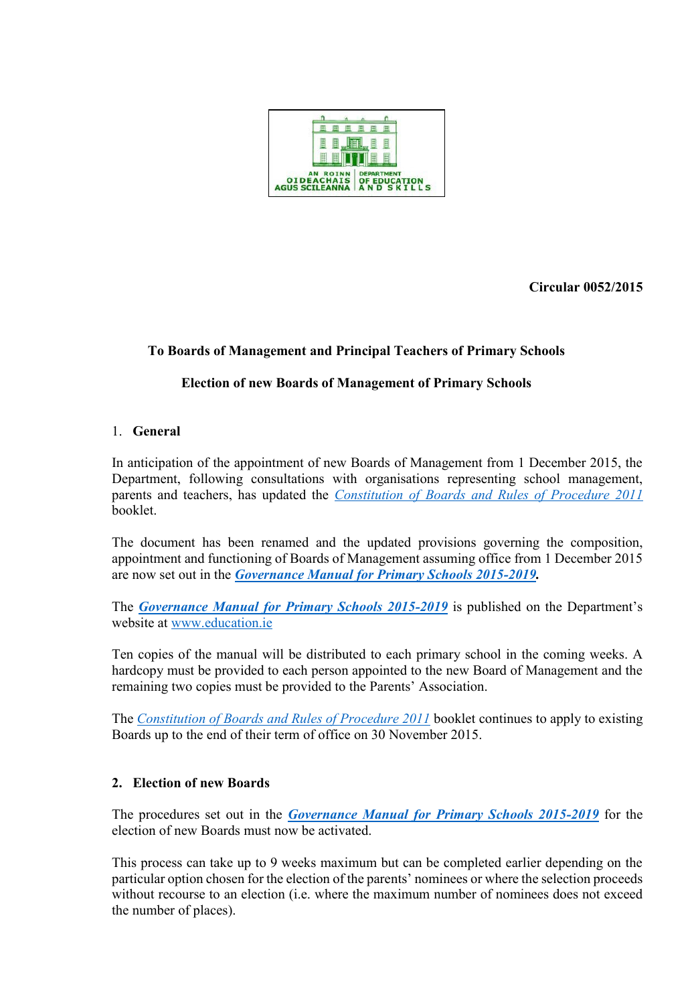

**Circular 0052/2015** 

# **To Boards of Management and Principal Teachers of Primary Schools**

# **Election of new Boards of Management of Primary Schools**

### 1. **General**

In anticipation of the appointment of new Boards of Management from 1 December 2015, the Department, following consultations with organisations representing school management, parents and teachers, has updated the *[Constitution of Boards and Rules of Procedure 2011](http://www.education.ie/en/Schools-Colleges/Information/Boards-of-Management/Boards-of-Management-of-National-Schools-Constitution-of-Boards-and-Rules-of-Procedure-2011.pdf)* booklet.

The document has been renamed and the updated provisions governing the composition, appointment and functioning of Boards of Management assuming office from 1 December 2015 are now set out in the *[Governance Manual for Primary Schools 2015-2019.](http://www.education.ie/en/Schools-Colleges/Information/Boards-of-Management/Governance-Manual-for-Primary-Schools-2015-2019.pdf)*

The *[Governance Manual for Primary Schools 2015-2019](http://www.education.ie/en/Schools-Colleges/Information/Boards-of-Management/Governance-Manual-for-Primary-Schools-2015-2019.pdf)* is published on the Department's website at [www.education.ie](http://www.education.ie/)

Ten copies of the manual will be distributed to each primary school in the coming weeks. A hardcopy must be provided to each person appointed to the new Board of Management and the remaining two copies must be provided to the Parents' Association.

The *[Constitution of Boards and Rules of Procedure 2011](http://www.education.ie/en/Schools-Colleges/Information/Boards-of-Management/Boards-of-Management-of-National-Schools-Constitution-of-Boards-and-Rules-of-Procedure-2011.pdf)* booklet continues to apply to existing Boards up to the end of their term of office on 30 November 2015.

### **2. Election of new Boards**

The procedures set out in the *[Governance Manual for Primary Schools 2015-2019](http://www.education.ie/en/Schools-Colleges/Information/Boards-of-Management/Governance-Manual-for-Primary-Schools-2015-2019.pdf)* for the election of new Boards must now be activated.

This process can take up to 9 weeks maximum but can be completed earlier depending on the particular option chosen for the election of the parents' nominees or where the selection proceeds without recourse to an election (i.e. where the maximum number of nominees does not exceed the number of places).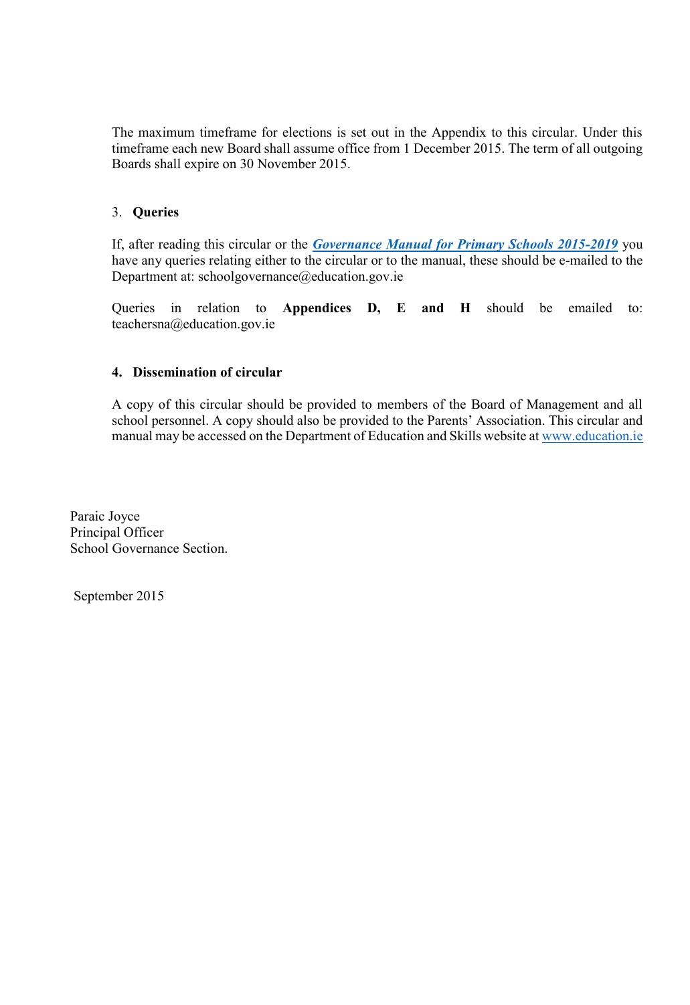The maximum timeframe for elections is set out in the Appendix to this circular. Under this timeframe each new Board shall assume office from 1 December 2015. The term of all outgoing Boards shall expire on 30 November 2015.

## 3. **Queries**

If, after reading this circular or the *[Governance Manual for Primary Schools 2015-2019](http://www.education.ie/en/Schools-Colleges/Information/Boards-of-Management/Governance-Manual-for-Primary-Schools-2015-2019.pdf)* you have any queries relating either to the circular or to the manual, these should be e-mailed to the Department at: schoolgovernance@education.gov.ie

Queries in relation to **Appendices D, E and H** should be emailed to: [teachersna@education.gov.ie](mailto:teachersna@education.gov.ie)

### **4. Dissemination of circular**

A copy of this circular should be provided to members of the Board of Management and all school personnel. A copy should also be provided to the Parents' Association. This circular and manual may be accessed on the Department of Education and Skills website at [www.education.ie](http://www.education.ie/)

Paraic Joyce Principal Officer School Governance Section.

September 2015